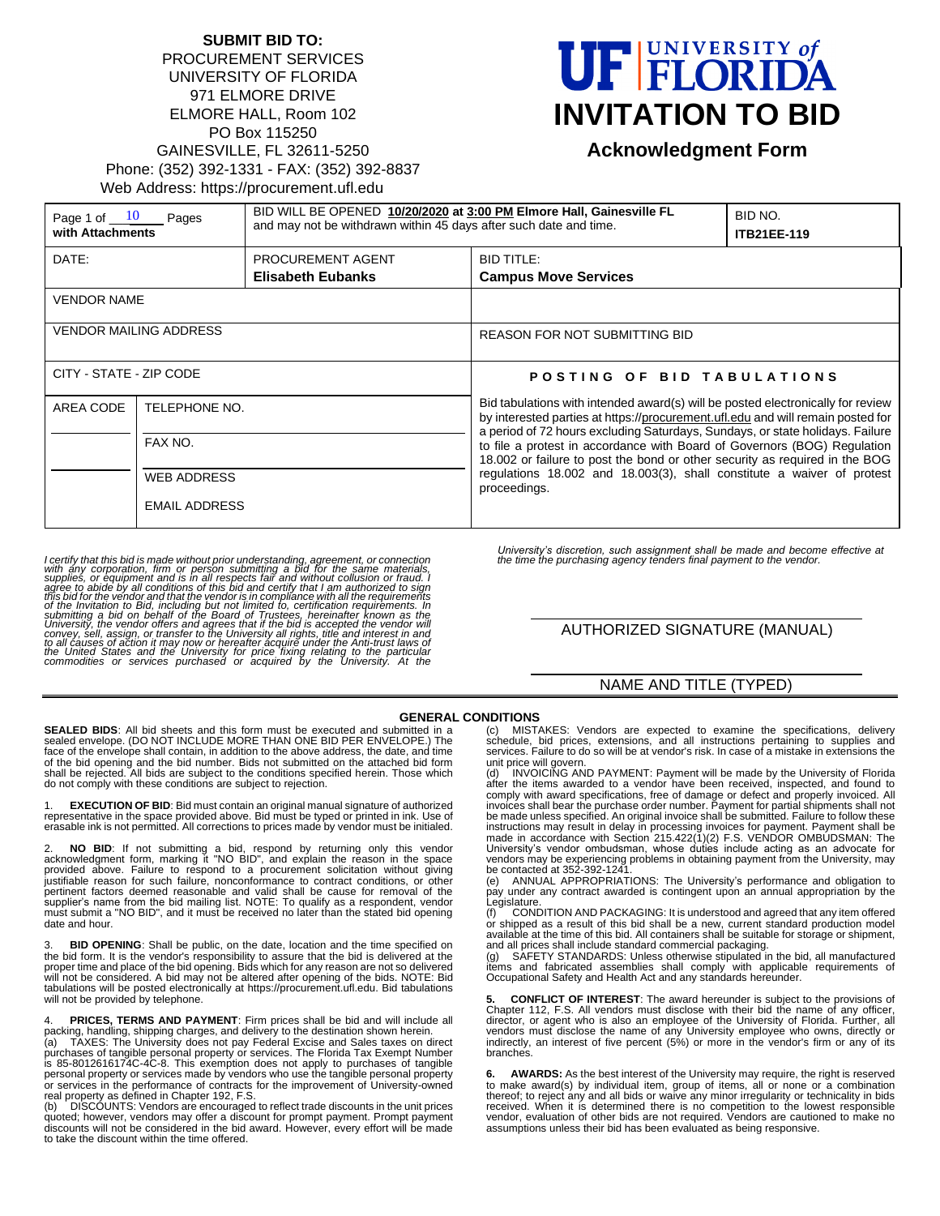### **SUBMIT BID TO:** PROCUREMENT SERVICES UNIVERSITY OF FLORIDA 971 ELMORE DRIVE ELMORE HALL, Room 102 PO Box 115250 GAINESVILLE, FL 32611-5250 Phone: (352) 392-1331 - FAX: (352) 392-8837 Web Address: https://procurement.ufl.edu

# UF FLORIDA **INVITATION TO BID**

# **Acknowledgment Form**

| Page 1 of $10$<br>Pages<br>with Attachments |                      | BID WILL BE OPENED 10/20/2020 at 3:00 PM Elmore Hall, Gainesville FL<br>and may not be withdrawn within 45 days after such date and time. |                                                                                                                                                                                                                                                                                                                                                                                                                                                                                                          | BID NO.<br><b>ITB21EE-119</b> |
|---------------------------------------------|----------------------|-------------------------------------------------------------------------------------------------------------------------------------------|----------------------------------------------------------------------------------------------------------------------------------------------------------------------------------------------------------------------------------------------------------------------------------------------------------------------------------------------------------------------------------------------------------------------------------------------------------------------------------------------------------|-------------------------------|
| DATE:                                       |                      | PROCUREMENT AGENT                                                                                                                         | <b>BID TITLE:</b>                                                                                                                                                                                                                                                                                                                                                                                                                                                                                        |                               |
|                                             |                      | <b>Elisabeth Eubanks</b>                                                                                                                  | <b>Campus Move Services</b>                                                                                                                                                                                                                                                                                                                                                                                                                                                                              |                               |
| <b>VENDOR NAME</b>                          |                      |                                                                                                                                           |                                                                                                                                                                                                                                                                                                                                                                                                                                                                                                          |                               |
| <b>VENDOR MAILING ADDRESS</b>               |                      |                                                                                                                                           | <b>REASON FOR NOT SUBMITTING BID</b>                                                                                                                                                                                                                                                                                                                                                                                                                                                                     |                               |
| CITY - STATE - ZIP CODE                     |                      |                                                                                                                                           | POSTING OF BID TABULATIONS                                                                                                                                                                                                                                                                                                                                                                                                                                                                               |                               |
| AREA CODE                                   | TELEPHONE NO.        |                                                                                                                                           | Bid tabulations with intended award(s) will be posted electronically for review<br>by interested parties at https://procurement.ufl.edu and will remain posted for<br>a period of 72 hours excluding Saturdays, Sundays, or state holidays. Failure<br>to file a protest in accordance with Board of Governors (BOG) Regulation<br>18.002 or failure to post the bond or other security as required in the BOG<br>requiations 18.002 and 18.003(3), shall constitute a waiver of protest<br>proceedings. |                               |
| FAX NO.                                     |                      |                                                                                                                                           |                                                                                                                                                                                                                                                                                                                                                                                                                                                                                                          |                               |
|                                             | <b>WEB ADDRESS</b>   |                                                                                                                                           |                                                                                                                                                                                                                                                                                                                                                                                                                                                                                                          |                               |
|                                             | <b>EMAIL ADDRESS</b> |                                                                                                                                           |                                                                                                                                                                                                                                                                                                                                                                                                                                                                                                          |                               |

I certify that this bid is made without prior understanding, agreement, or connection<br>with any corporation, firm or person submitting a bid for the same materials,<br>supplies, or equipment and is in all respects fair and wit

*University's discretion, such assignment shall be made and become effective at the time the purchasing agency tenders final payment to the vendor.*

## AUTHORIZED SIGNATURE (MANUAL)

#### NAME AND TITLE (TYPED)

#### **GENERAL CONDITIONS**

**SEALED BIDS**: All bid sheets and this form must be executed and submitted in a sealed envelope. (DO NOT INCLUDE MORE THAN ONE BID PER ENVELOPE.) The face of the envelope shall contain, in addition to the above address, the date, and time<br>of the bid opening and the bid number. Bids not submitted on the attached bid form<br>shall be rejected. All bids are subject to the con do not comply with these conditions are subject to rejection.

1. **EXECUTION OF BID**: Bid must contain an original manual signature of authorized representative in the space provided above. Bid must be typed or printed in ink. Use of erasable ink is not permitted. All corrections to prices made by vendor must be initialed.

2. NO BID: If not submitting a bid, respond by returning only this vendor<br>acknowledgment form, marking it "NO BID", and explain the reason in the space<br>provided above. Failure to respond to a procurement solicitation witho pertinent factors deemed reasonable and valid shall be cause for removal of the<br>supplier's name from the bid mailing list. NOTE: To qualify as a respondent, vendor<br>must submit a "NO BID", and it must be received no later t date and hour.

**BID OPENING**: Shall be public, on the date, location and the time specified on the bid form. It is the vendor's responsibility to assure that the bid is delivered at the proper time and place of the bid opening. Bids which for any reason are not so delivered will not be considered. A bid may not be altered after opening of the bids. NOTE: Bid tabulations will be posted electronically at https://procurement.ufl.edu. Bid tabulations will not be provided by telephone.

PRICES, TERMS AND PAYMENT: Firm prices shall be bid and will include all

packing, handling, shipping charges, and delivery to the destination shown herein. (a) TAXES: The University does not pay Federal Excise and Sales taxes on direct purchases of tangible personal property or services. The Florida Tax Exempt Number<br>is 85-8012616174C-4C-8. This exemption does not apply to purchases of tangible<br>personal property or services made by vendors who use the ta or services in the performance of contracts for the improvement of University-owned<br>real property as defined in Chapter 192, F.S.<br>(b) DISCOUNTS: Vendors are encouraged to reflect trade discounts in the unit prices

quoted; however, vendors may offer a discount for prompt payment. Prompt payment discounts will not be considered in the bid award. However, every effort will be made to take the discount within the time offered.

(c) MISTAKES: Vendors are expected to examine the specifications, delivery schedule, bid prices, extensions, and all instructions pertaining to supplies and services. Failure to do so will be at vendor's risk. In case of a mistake in extensions the

unit price will govern. (d) INVOICING AND PAYMENT: Payment will be made by the University of Florida after the items awarded to a vendor have been received, inspected, and found to<br>comply with award specifications, free of damage or defect and properly invoiced. All<br>invoices shall bear the purchase order number. Payment f instructions may result in delay in processing invoices for payment. Payment shall be<br>made in accordance with Section 215.422(1)(2) F.S. VENDOR OMBUDSMAN: The<br>University's vendor ombudsman, whose duties include acting as a vendors may be experiencing problems in obtaining payment from the University, may<br>be contacted at 352-392-1241.<br>(e) ANNUAL APPROPRIATIONS: The University's performance and obligation to

pay under any contract awarded is contingent upon an annual appropriation by the Legislature.

IT CONDITION AND PACKAGING: It is understood and agreed that any item offered or shipped as a result of this bid shall be a new, current standard production model available at the time of this bid. All containers shall be suitable for storage or shipment, and all prices shall include standard commercial packaging.

SAFETY STANDARDS: Unless otherwise stipulated in the bid, all manufactured items and fabricated assemblies shall comply with applicable requirements of Occupational Safety and Health Act and any standards hereunder.

**5. CONFLICT OF INTEREST**: The award hereunder is subject to the provisions of Chapter 112, F.S. All vendors must disclose with their bid the name of any officer, director, or agent who is also an employee of the University of Florida. Further, all vendors must disclose the name of any University employee who owns, directly or indirectly, an interest of five percent (5%) or more in the vendor's firm or any of its branches.

**6. AWARDS:** As the best interest of the University may require, the right is reserved to make award(s) by individual item, group of items, all or none or a combination thereof; to reject any and all bids or waive any minor irregularity or technicality in bids received. When it is determined there is no competition to the lowest responsible vendor, evaluation of other bids are not required. Vendors are cautioned to make no assumptions unless their bid has been evaluated as being responsive.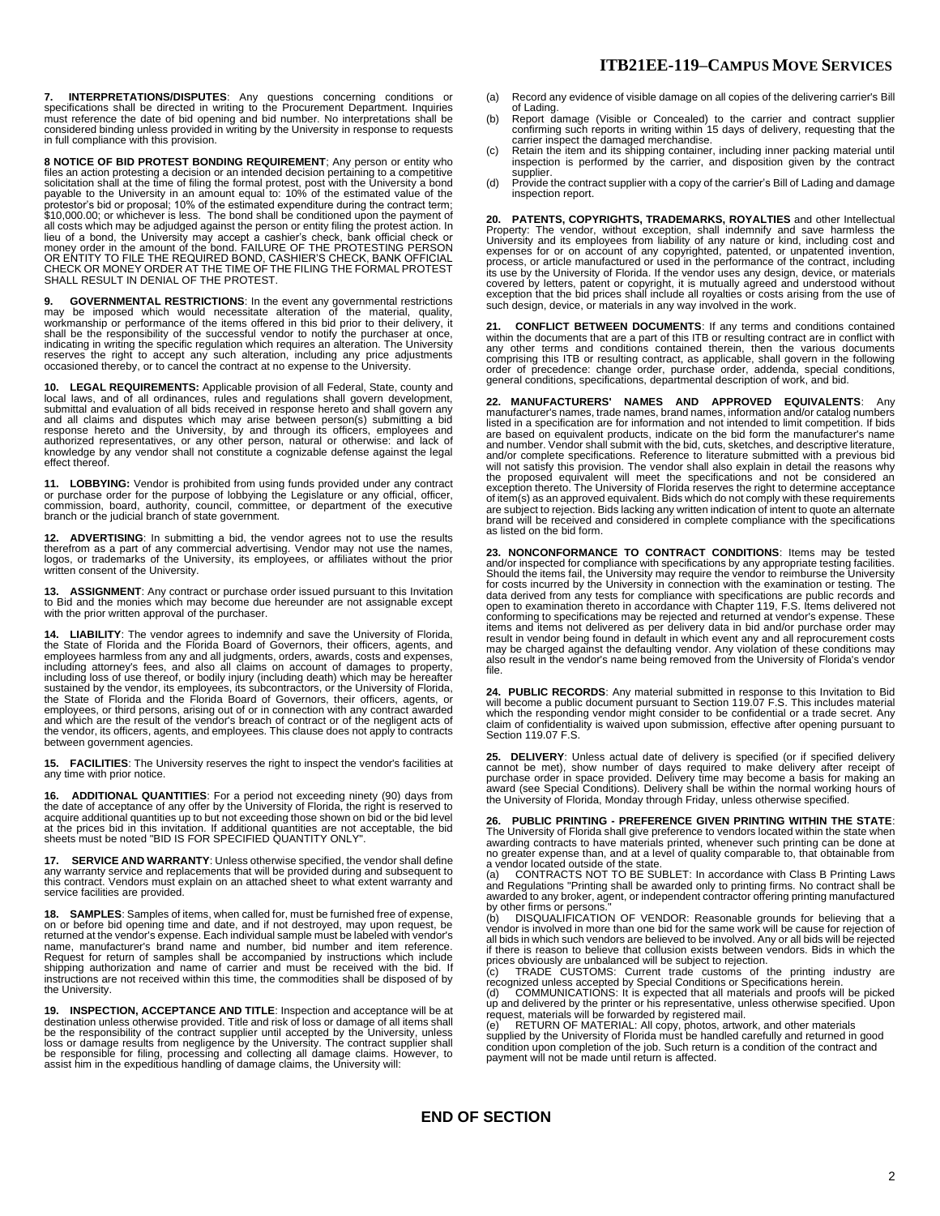**7. INTERPRETATIONS/DISPUTES**: Any questions concerning conditions or<br>specifications shall be directed in writing to the Procurement Department. Inquiries<br>must reference the date of bid opening and bid number. No interpret considered binding unless provided in writing by the University in response to requests in full compliance with this provision.

**8 NOTICE OF BID PROTEST BONDING REQUIREMENT**; Any person or entity who files an action protesting a decision or an intended decision pertaining to a competitive solicitation shall at the time of filing the formal protest, post with the University a bond payable to the University in an amount equal to: 10% of the estimated value of the<br>protestor's bid or proposal; 10% of the estimated expenditure during the contract term;<br>\$10,000.00; or whichever is less. The bond shall b all costs which may be adjudged against the person or entity filing the protest action. In lieu of a bond, the University may accept a cashier's check, bank official check or<br>money order in the amount of the bond. FAILURE OF THE PROTESTING PERSON<br>OR ENTITY TO FILE THE REQUIRED BOND, CASHIER'S CHECK, BANK OFFICIA

**9. GOVERNMENTAL RESTRICTIONS**: In the event any governmental restrictions may be imposed which would necessitate alteration of the material, quality, workmanship or performance of the items offered in this bid prior to their delivery, it<br>shall be the responsibility of the successful vendor to notify the purchaser at once,<br>indicating in writing the specific regulation wh reserves the right to accept any such alteration, including any price adjustments occasioned thereby, or to cancel the contract at no expense to the University.

**10. LEGAL REQUIREMENTS:** Applicable provision of all Federal, State, county and<br>local laws, and of all ordinances, rules and regulations shall govern development,<br>submittal and evaluation of all bids received in response and all claims and disputes which may arise between person(s) submitting a bid<br>response hereto and the University, by and through its officers, employees and<br>authorized representatives, or any other person, natural or othe knowledge by any vendor shall not constitute a cognizable defense against the legal effect thereof.

11. LOBBYING: Vendor is prohibited from using funds provided under any contract<br>or purchase order for the purpose of lobbying the Legislature or any official, officer,<br>commission, board, authority, council, committee, or d

**12. ADVERTISING**: In submitting a bid, the vendor agrees not to use the results<br>therefrom as a part of any commercial advertising. Vendor may not use the names,<br>logos, or trademarks of the University, its employees, or af written consent of the University.

**13. ASSIGNMENT**: Any contract or purchase order issued pursuant to this Invitation<br>to Bid and the monies which may become due hereunder are not assignable except<br>with the prior written approval of the purchaser.

**14. LIABILITY**: The vendor agrees to indemnify and save the University of Florida, the State of Florida and the Florida Board of Governors, their officers, agents, and<br>employees harmless from any and all judgments, orders, awards, costs and expenses,<br>including attomey's fees, and also all claims on accou between government agencies.

**15. FACILITIES**: The University reserves the right to inspect the vendor's facilities at any time with prior notice.

**16. ADDITIONAL QUANTITIES**: For a period not exceeding ninety (90) days from the date of acceptance of any offer by the University of Florida, the right is reserved to acquire additional quantities up to but not exceeding those shown on bid or the bid level<br>at the prices bid in this invitation. If additional quantities are not acceptable, the bid<br>sheets must be noted "BID IS FOR SPECIFIE

**17. SERVICE AND WARRANTY**: Unless otherwise specified, the vendor shall define any warranty service and replacements that will be provided during and subsequent to this contract. Vendors must explain on an attached sheet to what extent warranty and service facilities are provided.

**18. SAMPLES:** Samples of items, when called for, must be furnished free of expense,<br>on or before bid opening time and date, and if not destroyed, may upon request, be<br>returned at the vendor's expense. Each individual samp name, manufacturer's brand name and number, bid number and item reference.<br>Request for return of samples shall be accompanied by instructions which include<br>shipping authorization and name of carrier and must be received wi instructions are not received within this time, the commodities shall be disposed of by the University.

**19. INSPECTION, ACCEPTANCE AND TITLE**: Inspection and acceptance will be at destination unless otherwise provided. Title and risk of loss or damage of all items shall be the responsibility of the contract supplier until accepted by the University, unless<br>loss or damage results from negligence by the University. The contract supplier shall<br>be responsible for filing, processing and collec

- (a) Record any evidence of visible damage on all copies of the delivering carrier's Bill
- of Lading. (b) Report damage (Visible or Concealed) to the carrier and contract supplier confirming such reports in writing within 15 days of delivery, requesting that the carrier inspect the damaged merchandise.
- (c) Retain the item and its shipping container, including inner packing material until inspection is performed by the carrier, and disposition given by the contract supplier.
- (d) Provide the contract supplier with a copy of the carrier's Bill of Lading and damage inspection report.

20. PATENTS, COPYRIGHTS, TRADEMARKS, ROYALTIES and other Intellectual<br>Property: The vendor, without exception, shall indemnify and save harmless the<br>University and its employees from liability of any nature or kind, includ expenses for or on account of any copyrighted, patented, or unpatented invention,<br>process, or article manufactured or used in the performance of the contract, including<br>its use by the University of Florida. If the vendor u covered by letters, patent or copyright, it is mutually agreed and understood without<br>exception that the bid prices shall include all royalties or costs arising from the use of<br>such design, device, or materials in any way

**21. CONFLICT BETWEEN DOCUMENTS**: If any terms and conditions contained within the documents that are a part of this ITB or resulting contract are in conflict with any other terms and conditions contained therein, then the various documents comprising this ITB or resulting contract, as applicable, shall govern in the following order of precedence: change order, purchase order, addenda, special conditions, general conditions, specifications, departmental description of work, and bid.

**22. MANUFACTURERS' NAMES AND APPROVED EQUIVALENTS**: Any manufacturer's names, trade names, brand names, information and/or catalog numbers listed in a specification are for information and not intended to limit competition. If bids are based on equivalent products, indicate on the bid form the manufacturer's name and number. Vendor shall submit with the bid, cuts, sketches, and descriptive literature, and/or complete specifications. Reference to literature submitted with a previous bid will not satisfy this provision. The vendor shall also explain in detail the reasons why the proposed equivalent will meet the specifications and not be considered an<br>exception thereto. The University of Florida reserves the right to determine acceptance<br>of item(s) as an approved equivalent. Bids which do not are subject to rejection. Bids lacking any written indication of intent to quote an alternate brand will be received and considered in complete compliance with the specifications as listed on the bid form.

**23. NONCONFORMANCE TO CONTRACT CONDITIONS**: Items may be tested and/or inspected for compliance with specifications by any appropriate testing facilities. Should the items fail, the University may require the vendor to reimburse the University<br>for costs incurred by the University in connection with the examination or testing. The<br>data derived from any tests for compliance wi result in vendor being found in default in which event any and all reprocurement costs<br>may be charged against the defaulting vendor. Any violation of these conditions may<br>also result in the vendor's name being removed from file.

**24. PUBLIC RECORDS**: Any material submitted in response to this Invitation to Bid<br>will become a public document pursuant to Section 119.07 F.S. This includes material<br>which the responding vendor might consider to be confi claim of confidentiality is waived upon submission, effective after opening pursuant to Section 119.07 F.S.

25. DELIVERY: Unless actual date of delivery is specified (or if specified delivery cannot be met), show number of days required to make delivery after receipt of purchase order in space provided. Delivery time may become

**26. PUBLIC PRINTING - PREFERENCE GIVEN PRINTING WITHIN THE STATE**: The University of Florida shall give preference to vendors located within the state when<br>awarding contracts to have materials printed, whenever such printing can be done at<br>no greater expense than, and at a level of qualit a vendor located outside of the state.

(a) CONTRACTS NOT TO BE SUBLET: In accordance with Class B Printing Laws<br>and Regulations "Printing shall be awarded only to printing firms. No contract shall be<br>awarded to any broker, agent, or independent contractor offer

by other firms or persons."<br>(b) DISQUALIFICATION OF VENDOR: Reasonable grounds for believing that a<br>vendor is involved in more than one bid for the same work will be cause for rejection of all bids in which such vendors are believed to be involved. Any or all bids will be rejected

if there is reason to believe that collusion exists between vendors. Bids in which the prices obviously are unbalanced will be subject to rejection.<br>(c) TRADE CUSTOMS: Current trade customs of the printing industry are rec

payment will not be made until return is affected.

#### **END OF SECTION**

#### **ITB21EE-119–CAMPUS MOVE SERVICES**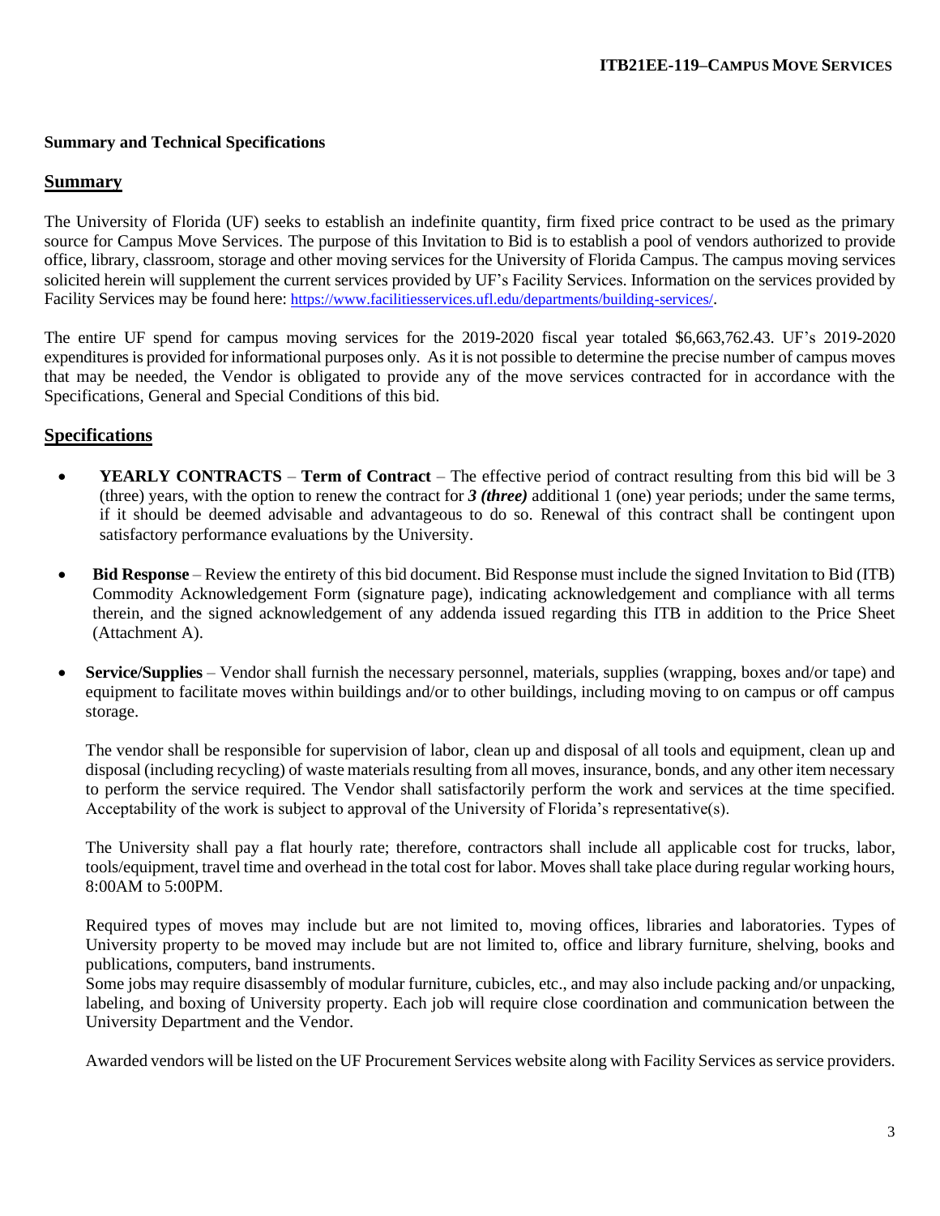#### **Summary and Technical Specifications**

## **Summary**

The University of Florida (UF) seeks to establish an indefinite quantity, firm fixed price contract to be used as the primary source for Campus Move Services. The purpose of this Invitation to Bid is to establish a pool of vendors authorized to provide office, library, classroom, storage and other moving services for the University of Florida Campus. The campus moving services solicited herein will supplement the current services provided by UF's Facility Services. Information on the services provided by Facility Services may be found here: <https://www.facilitiesservices.ufl.edu/departments/building-services/>.

The entire UF spend for campus moving services for the 2019-2020 fiscal year totaled \$6,663,762.43. UF's 2019-2020 expenditures is provided for informational purposes only. As it is not possible to determine the precise number of campus moves that may be needed, the Vendor is obligated to provide any of the move services contracted for in accordance with the Specifications, General and Special Conditions of this bid.

## **Specifications**

- **YEARLY CONTRACTS Term of Contract** The effective period of contract resulting from this bid will be 3 (three) years, with the option to renew the contract for *3 (three)* additional 1 (one) year periods; under the same terms, if it should be deemed advisable and advantageous to do so. Renewal of this contract shall be contingent upon satisfactory performance evaluations by the University.
- **Bid Response** Review the entirety of this bid document. Bid Response must include the signed Invitation to Bid (ITB) Commodity Acknowledgement Form (signature page), indicating acknowledgement and compliance with all terms therein, and the signed acknowledgement of any addenda issued regarding this ITB in addition to the Price Sheet (Attachment A).
- **Service/Supplies**  Vendor shall furnish the necessary personnel, materials, supplies (wrapping, boxes and/or tape) and equipment to facilitate moves within buildings and/or to other buildings, including moving to on campus or off campus storage.

The vendor shall be responsible for supervision of labor, clean up and disposal of all tools and equipment, clean up and disposal (including recycling) of waste materials resulting from all moves, insurance, bonds, and any other item necessary to perform the service required. The Vendor shall satisfactorily perform the work and services at the time specified. Acceptability of the work is subject to approval of the University of Florida's representative(s).

The University shall pay a flat hourly rate; therefore, contractors shall include all applicable cost for trucks, labor, tools/equipment, travel time and overhead in the total cost for labor. Moves shall take place during regular working hours, 8:00AM to 5:00PM.

Required types of moves may include but are not limited to, moving offices, libraries and laboratories. Types of University property to be moved may include but are not limited to, office and library furniture, shelving, books and publications, computers, band instruments.

Some jobs may require disassembly of modular furniture, cubicles, etc., and may also include packing and/or unpacking, labeling, and boxing of University property. Each job will require close coordination and communication between the University Department and the Vendor.

Awarded vendors will be listed on the UF Procurement Services website along with Facility Services as service providers.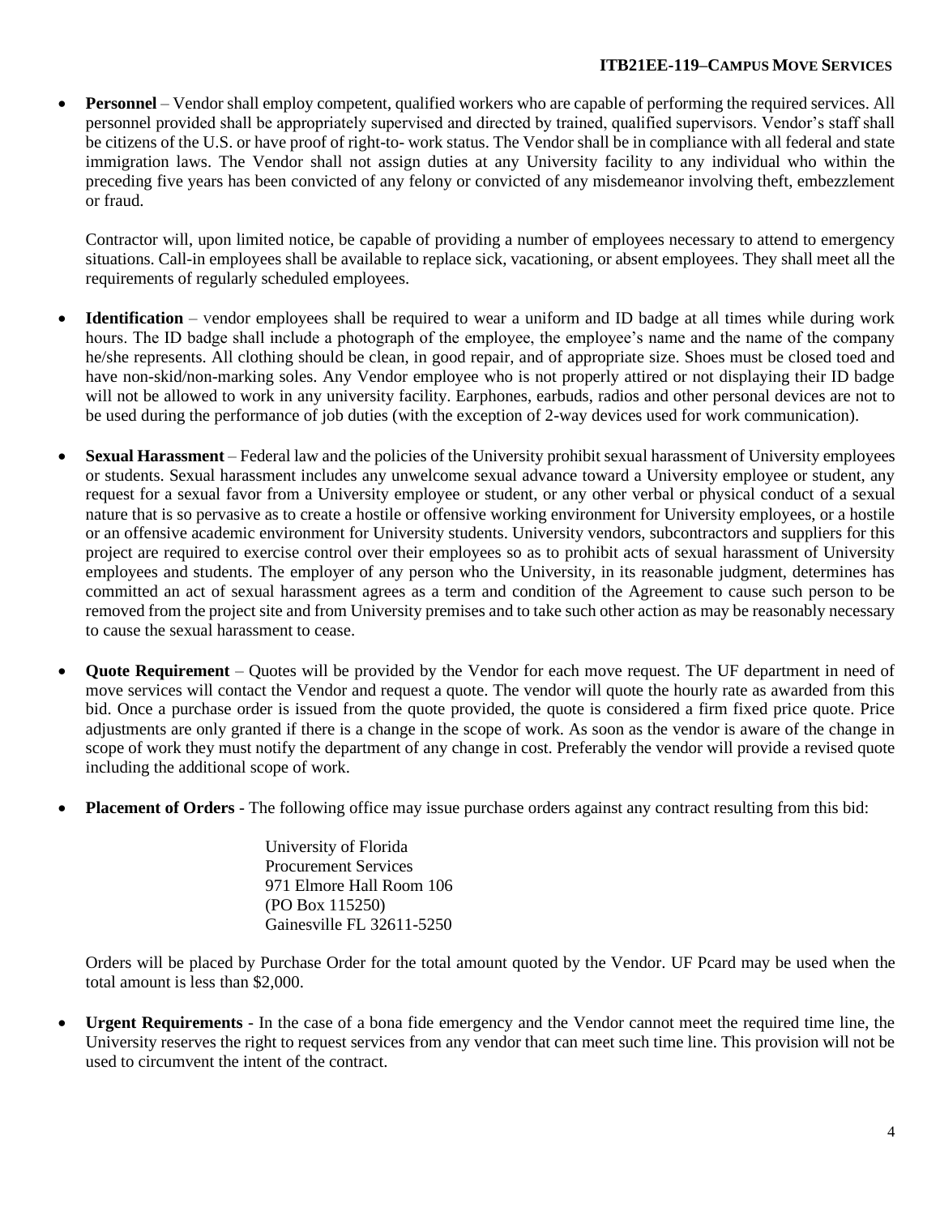### **ITB21EE-119–CAMPUS MOVE SERVICES**

• **Personnel** – Vendor shall employ competent, qualified workers who are capable of performing the required services. All personnel provided shall be appropriately supervised and directed by trained, qualified supervisors. Vendor's staff shall be citizens of the U.S. or have proof of right-to- work status. The Vendor shall be in compliance with all federal and state immigration laws. The Vendor shall not assign duties at any University facility to any individual who within the preceding five years has been convicted of any felony or convicted of any misdemeanor involving theft, embezzlement or fraud.

Contractor will, upon limited notice, be capable of providing a number of employees necessary to attend to emergency situations. Call-in employees shall be available to replace sick, vacationing, or absent employees. They shall meet all the requirements of regularly scheduled employees.

- **Identification** Vendor employees shall be required to wear a uniform and ID badge at all times while during work hours. The ID badge shall include a photograph of the employee, the employee's name and the name of the company he/she represents. All clothing should be clean, in good repair, and of appropriate size. Shoes must be closed toed and have non-skid/non-marking soles. Any Vendor employee who is not properly attired or not displaying their ID badge will not be allowed to work in any university facility. Earphones, earbuds, radios and other personal devices are not to be used during the performance of job duties (with the exception of 2-way devices used for work communication).
- **Sexual Harassment**  Federal law and the policies of the University prohibit sexual harassment of University employees or students. Sexual harassment includes any unwelcome sexual advance toward a University employee or student, any request for a sexual favor from a University employee or student, or any other verbal or physical conduct of a sexual nature that is so pervasive as to create a hostile or offensive working environment for University employees, or a hostile or an offensive academic environment for University students. University vendors, subcontractors and suppliers for this project are required to exercise control over their employees so as to prohibit acts of sexual harassment of University employees and students. The employer of any person who the University, in its reasonable judgment, determines has committed an act of sexual harassment agrees as a term and condition of the Agreement to cause such person to be removed from the project site and from University premises and to take such other action as may be reasonably necessary to cause the sexual harassment to cease.
- **Quote Requirement** Quotes will be provided by the Vendor for each move request. The UF department in need of move services will contact the Vendor and request a quote. The vendor will quote the hourly rate as awarded from this bid. Once a purchase order is issued from the quote provided, the quote is considered a firm fixed price quote. Price adjustments are only granted if there is a change in the scope of work. As soon as the vendor is aware of the change in scope of work they must notify the department of any change in cost. Preferably the vendor will provide a revised quote including the additional scope of work.
- **Placement of Orders** The following office may issue purchase orders against any contract resulting from this bid:

University of Florida Procurement Services 971 Elmore Hall Room 106 (PO Box 115250) Gainesville FL 32611-5250

Orders will be placed by Purchase Order for the total amount quoted by the Vendor. UF Pcard may be used when the total amount is less than \$2,000.

• **Urgent Requirements** - In the case of a bona fide emergency and the Vendor cannot meet the required time line, the University reserves the right to request services from any vendor that can meet such time line. This provision will not be used to circumvent the intent of the contract.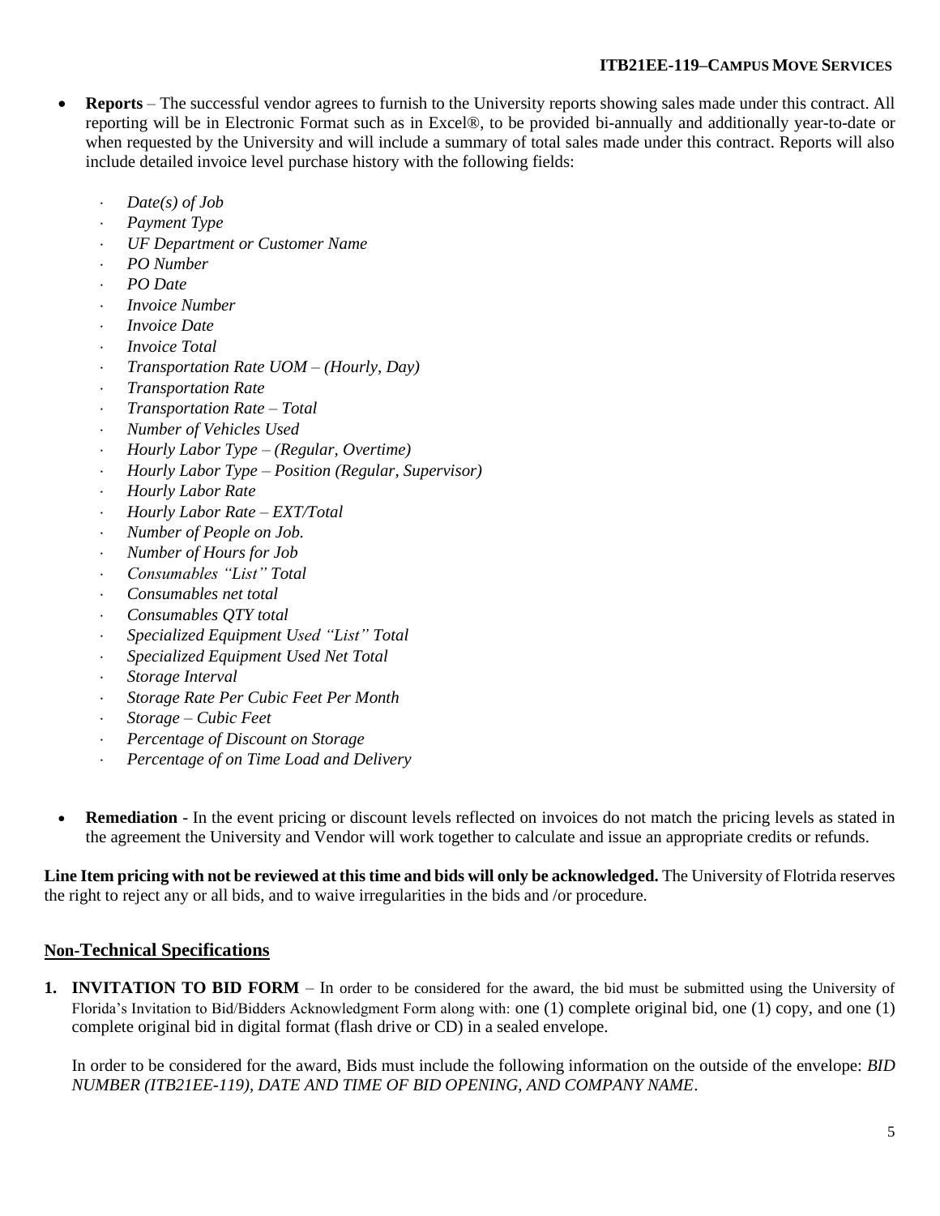# **ITB21EE-119–CAMPUS MOVE SERVICES**

- **Reports** The successful vendor agrees to furnish to the University reports showing sales made under this contract. All reporting will be in Electronic Format such as in Excel®, to be provided bi-annually and additionally year-to-date or when requested by the University and will include a summary of total sales made under this contract. Reports will also include detailed invoice level purchase history with the following fields:
	- *Date(s) of Job*
	- *Payment Type*
	- *UF Department or Customer Name*
	- *PO Number*
	- *PO Date*
	- *Invoice Number*
	- *Invoice Date*
	- *Invoice Total*
	- *Transportation Rate UOM – (Hourly, Day)*
	- *Transportation Rate*
	- *Transportation Rate – Total*
	- *Number of Vehicles Used*
	- *Hourly Labor Type – (Regular, Overtime)*
	- *Hourly Labor Type – Position (Regular, Supervisor)*
	- *Hourly Labor Rate*
	- *Hourly Labor Rate – EXT/Total*
	- *Number of People on Job.*
	- *Number of Hours for Job*
	- *Consumables "List" Total*
	- *Consumables net total*
	- *Consumables QTY total*
	- *Specialized Equipment Used "List" Total*
	- *Specialized Equipment Used Net Total*
	- *Storage Interval*
	- *Storage Rate Per Cubic Feet Per Month*
	- *Storage – Cubic Feet*
	- *Percentage of Discount on Storage*
	- *Percentage of on Time Load and Delivery*
- **Remediation** In the event pricing or discount levels reflected on invoices do not match the pricing levels as stated in the agreement the University and Vendor will work together to calculate and issue an appropriate credits or refunds.

**Line Item pricing with not be reviewed at this time and bids will only be acknowledged.** The University of Flotrida reserves the right to reject any or all bids, and to waive irregularities in the bids and /or procedure.

## **Non-Technical Specifications**

**1. INVITATION TO BID FORM** – In order to be considered for the award, the bid must be submitted using the University of Florida's Invitation to Bid/Bidders Acknowledgment Form along with: one (1) complete original bid, one (1) copy, and one (1) complete original bid in digital format (flash drive or CD) in a sealed envelope.

In order to be considered for the award, Bids must include the following information on the outside of the envelope: *BID NUMBER (ITB21EE-119), DATE AND TIME OF BID OPENING, AND COMPANY NAME*.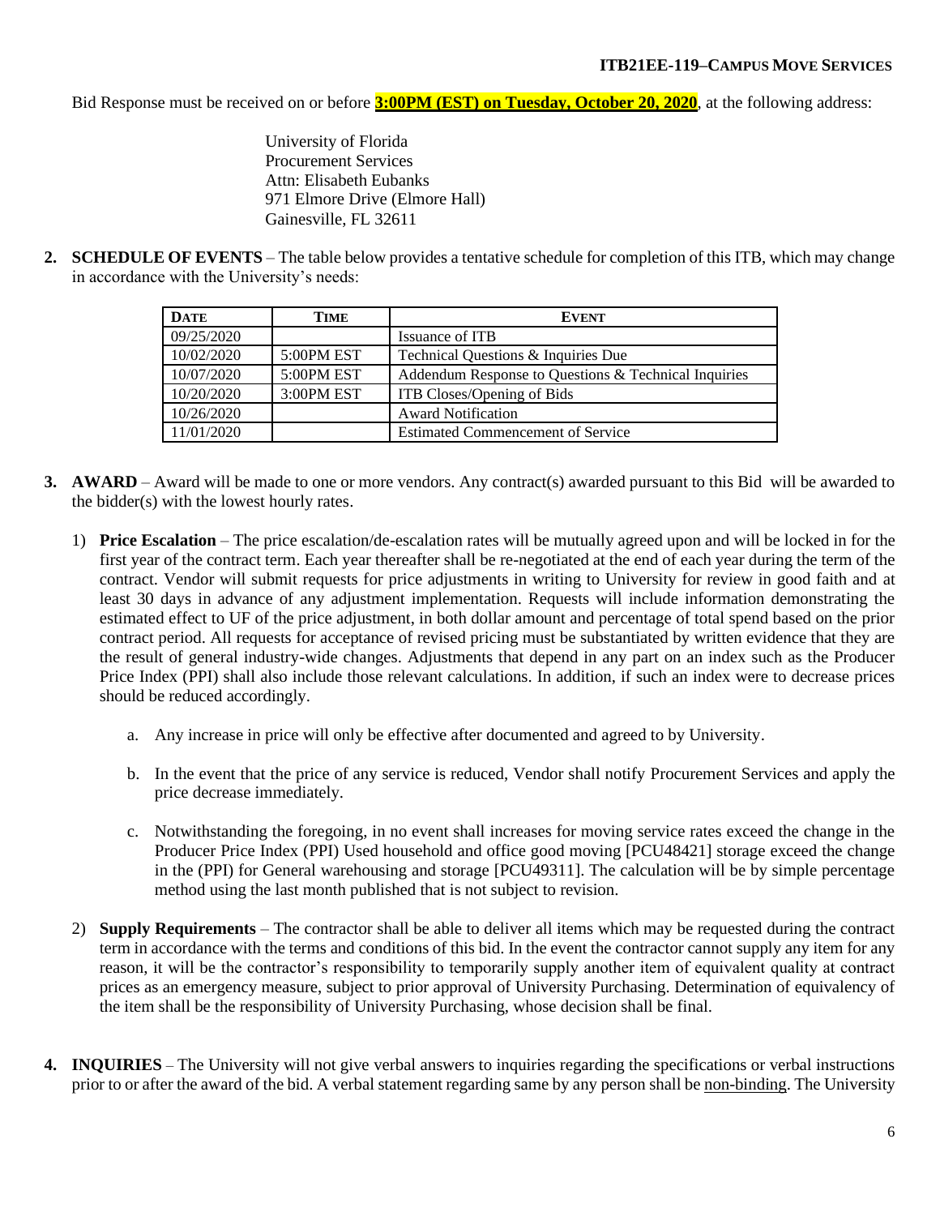Bid Response must be received on or before **3:00PM (EST) on Tuesday, October 20, 2020**, at the following address:

University of Florida Procurement Services Attn: Elisabeth Eubanks 971 Elmore Drive (Elmore Hall) Gainesville, FL 32611

**2. SCHEDULE OF EVENTS** – The table below provides a tentative schedule for completion of this ITB, which may change in accordance with the University's needs:

| <b>DATE</b> | TIME       | <b>EVENT</b>                                         |
|-------------|------------|------------------------------------------------------|
| 09/25/2020  |            | Issuance of ITB                                      |
| 10/02/2020  | 5:00PM EST | Technical Questions & Inquiries Due                  |
| 10/07/2020  | 5:00PM EST | Addendum Response to Questions & Technical Inquiries |
| 10/20/2020  | 3:00PM EST | ITB Closes/Opening of Bids                           |
| 10/26/2020  |            | <b>Award Notification</b>                            |
| 11/01/2020  |            | <b>Estimated Commencement of Service</b>             |

- **3. AWARD** Award will be made to one or more vendors. Any contract(s) awarded pursuant to this Bid will be awarded to the bidder(s) with the lowest hourly rates.
	- 1) **Price Escalation** The price escalation/de-escalation rates will be mutually agreed upon and will be locked in for the first year of the contract term. Each year thereafter shall be re-negotiated at the end of each year during the term of the contract. Vendor will submit requests for price adjustments in writing to University for review in good faith and at least 30 days in advance of any adjustment implementation. Requests will include information demonstrating the estimated effect to UF of the price adjustment, in both dollar amount and percentage of total spend based on the prior contract period. All requests for acceptance of revised pricing must be substantiated by written evidence that they are the result of general industry-wide changes. Adjustments that depend in any part on an index such as the Producer Price Index (PPI) shall also include those relevant calculations. In addition, if such an index were to decrease prices should be reduced accordingly.
		- a. Any increase in price will only be effective after documented and agreed to by University.
		- b. In the event that the price of any service is reduced, Vendor shall notify Procurement Services and apply the price decrease immediately.
		- c. Notwithstanding the foregoing, in no event shall increases for moving service rates exceed the change in the Producer Price Index (PPI) Used household and office good moving [PCU48421] storage exceed the change in the (PPI) for General warehousing and storage [PCU49311]. The calculation will be by simple percentage method using the last month published that is not subject to revision.
	- 2) **Supply Requirements** The contractor shall be able to deliver all items which may be requested during the contract term in accordance with the terms and conditions of this bid. In the event the contractor cannot supply any item for any reason, it will be the contractor's responsibility to temporarily supply another item of equivalent quality at contract prices as an emergency measure, subject to prior approval of University Purchasing. Determination of equivalency of the item shall be the responsibility of University Purchasing, whose decision shall be final.
- **4. INQUIRIES** The University will not give verbal answers to inquiries regarding the specifications or verbal instructions prior to or after the award of the bid. A verbal statement regarding same by any person shall be non-binding. The University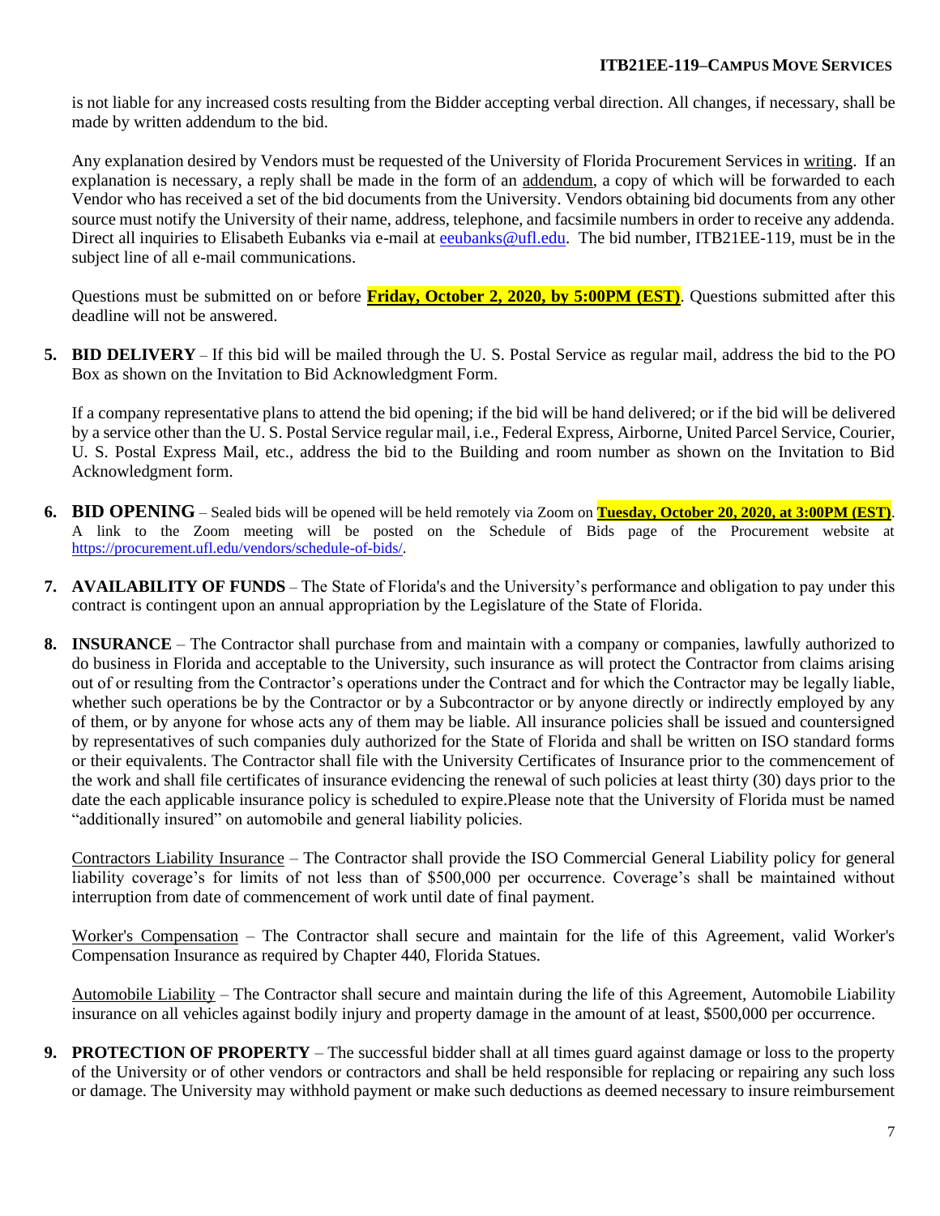is not liable for any increased costs resulting from the Bidder accepting verbal direction. All changes, if necessary, shall be made by written addendum to the bid.

Any explanation desired by Vendors must be requested of the University of Florida Procurement Services in writing. If an explanation is necessary, a reply shall be made in the form of an addendum, a copy of which will be forwarded to each Vendor who has received a set of the bid documents from the University. Vendors obtaining bid documents from any other source must notify the University of their name, address, telephone, and facsimile numbers in order to receive any addenda. Direct all inquiries to Elisabeth Eubanks via e-mail at [eeubanks@ufl.edu.](mailto:eeubanks@ufl.edu) The bid number, ITB21EE-119, must be in the subject line of all e-mail communications.

Questions must be submitted on or before **Friday, October 2, 2020, by 5:00PM (EST)**. Questions submitted after this deadline will not be answered.

**5. BID DELIVERY** – If this bid will be mailed through the U. S. Postal Service as regular mail, address the bid to the PO Box as shown on the Invitation to Bid Acknowledgment Form.

If a company representative plans to attend the bid opening; if the bid will be hand delivered; or if the bid will be delivered by a service other than the U. S. Postal Service regular mail, i.e., Federal Express, Airborne, United Parcel Service, Courier, U. S. Postal Express Mail, etc., address the bid to the Building and room number as shown on the Invitation to Bid Acknowledgment form.

- **6. BID OPENING** Sealed bids will be opened will be held remotely via Zoom on **Tuesday, October 20, 2020, at 3:00PM (EST)**. A link to the Zoom meeting will be posted on the Schedule of Bids page of the Procurement website at [https://procurement.ufl.edu/vendors/schedule-of-bids/.](https://procurement.ufl.edu/vendors/schedule-of-bids/)
- **7. AVAILABILITY OF FUNDS** The State of Florida's and the University's performance and obligation to pay under this contract is contingent upon an annual appropriation by the Legislature of the State of Florida.
- **8. INSURANCE** The Contractor shall purchase from and maintain with a company or companies, lawfully authorized to do business in Florida and acceptable to the University, such insurance as will protect the Contractor from claims arising out of or resulting from the Contractor's operations under the Contract and for which the Contractor may be legally liable, whether such operations be by the Contractor or by a Subcontractor or by anyone directly or indirectly employed by any of them, or by anyone for whose acts any of them may be liable. All insurance policies shall be issued and countersigned by representatives of such companies duly authorized for the State of Florida and shall be written on ISO standard forms or their equivalents. The Contractor shall file with the University Certificates of Insurance prior to the commencement of the work and shall file certificates of insurance evidencing the renewal of such policies at least thirty (30) days prior to the date the each applicable insurance policy is scheduled to expire.Please note that the University of Florida must be named "additionally insured" on automobile and general liability policies.

Contractors Liability Insurance – The Contractor shall provide the ISO Commercial General Liability policy for general liability coverage's for limits of not less than of \$500,000 per occurrence. Coverage's shall be maintained without interruption from date of commencement of work until date of final payment.

Worker's Compensation – The Contractor shall secure and maintain for the life of this Agreement, valid Worker's Compensation Insurance as required by Chapter 440, Florida Statues.

Automobile Liability – The Contractor shall secure and maintain during the life of this Agreement, Automobile Liability insurance on all vehicles against bodily injury and property damage in the amount of at least, \$500,000 per occurrence.

**9. PROTECTION OF PROPERTY** – The successful bidder shall at all times guard against damage or loss to the property of the University or of other vendors or contractors and shall be held responsible for replacing or repairing any such loss or damage. The University may withhold payment or make such deductions as deemed necessary to insure reimbursement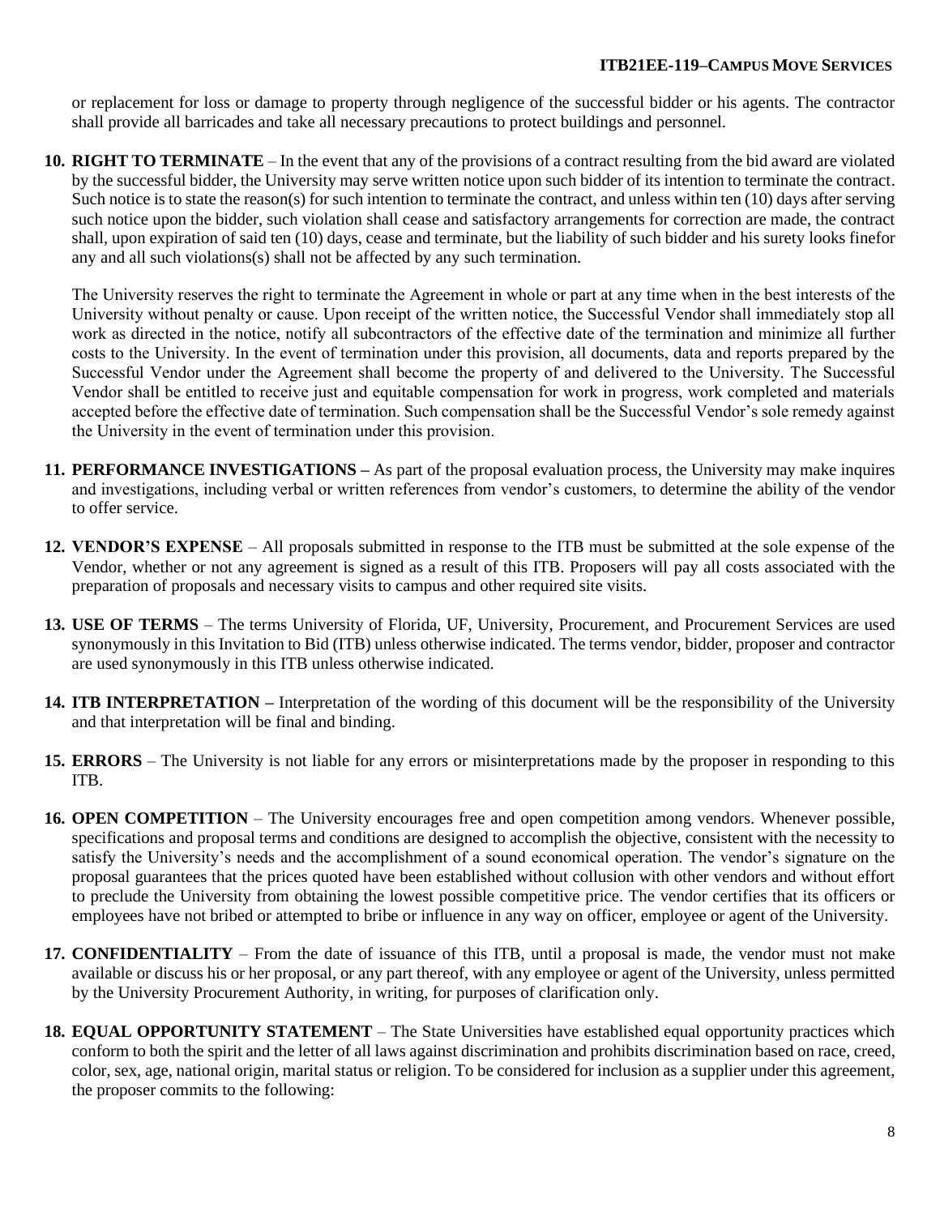#### **ITB21EE-119–CAMPUS MOVE SERVICES**

or replacement for loss or damage to property through negligence of the successful bidder or his agents. The contractor shall provide all barricades and take all necessary precautions to protect buildings and personnel.

**10. RIGHT TO TERMINATE** – In the event that any of the provisions of a contract resulting from the bid award are violated by the successful bidder, the University may serve written notice upon such bidder of its intention to terminate the contract. Such notice is to state the reason(s) for such intention to terminate the contract, and unless within ten (10) days after serving such notice upon the bidder, such violation shall cease and satisfactory arrangements for correction are made, the contract shall, upon expiration of said ten (10) days, cease and terminate, but the liability of such bidder and his surety looks finefor any and all such violations(s) shall not be affected by any such termination.

The University reserves the right to terminate the Agreement in whole or part at any time when in the best interests of the University without penalty or cause. Upon receipt of the written notice, the Successful Vendor shall immediately stop all work as directed in the notice, notify all subcontractors of the effective date of the termination and minimize all further costs to the University. In the event of termination under this provision, all documents, data and reports prepared by the Successful Vendor under the Agreement shall become the property of and delivered to the University. The Successful Vendor shall be entitled to receive just and equitable compensation for work in progress, work completed and materials accepted before the effective date of termination. Such compensation shall be the Successful Vendor's sole remedy against the University in the event of termination under this provision.

- **11. PERFORMANCE INVESTIGATIONS –** As part of the proposal evaluation process, the University may make inquires and investigations, including verbal or written references from vendor's customers, to determine the ability of the vendor to offer service.
- **12. VENDOR'S EXPENSE**  All proposals submitted in response to the ITB must be submitted at the sole expense of the Vendor, whether or not any agreement is signed as a result of this ITB. Proposers will pay all costs associated with the preparation of proposals and necessary visits to campus and other required site visits.
- **13. USE OF TERMS** The terms University of Florida, UF, University, Procurement, and Procurement Services are used synonymously in this Invitation to Bid (ITB) unless otherwise indicated. The terms vendor, bidder, proposer and contractor are used synonymously in this ITB unless otherwise indicated.
- **14. ITB INTERPRETATION –** Interpretation of the wording of this document will be the responsibility of the University and that interpretation will be final and binding.
- **15. ERRORS**  The University is not liable for any errors or misinterpretations made by the proposer in responding to this ITB.
- **16. OPEN COMPETITION** The University encourages free and open competition among vendors. Whenever possible, specifications and proposal terms and conditions are designed to accomplish the objective, consistent with the necessity to satisfy the University's needs and the accomplishment of a sound economical operation. The vendor's signature on the proposal guarantees that the prices quoted have been established without collusion with other vendors and without effort to preclude the University from obtaining the lowest possible competitive price. The vendor certifies that its officers or employees have not bribed or attempted to bribe or influence in any way on officer, employee or agent of the University.
- **17. CONFIDENTIALITY**  From the date of issuance of this ITB, until a proposal is made, the vendor must not make available or discuss his or her proposal, or any part thereof, with any employee or agent of the University, unless permitted by the University Procurement Authority, in writing, for purposes of clarification only.
- **18. EQUAL OPPORTUNITY STATEMENT** The State Universities have established equal opportunity practices which conform to both the spirit and the letter of all laws against discrimination and prohibits discrimination based on race, creed, color, sex, age, national origin, marital status or religion. To be considered for inclusion as a supplier under this agreement, the proposer commits to the following: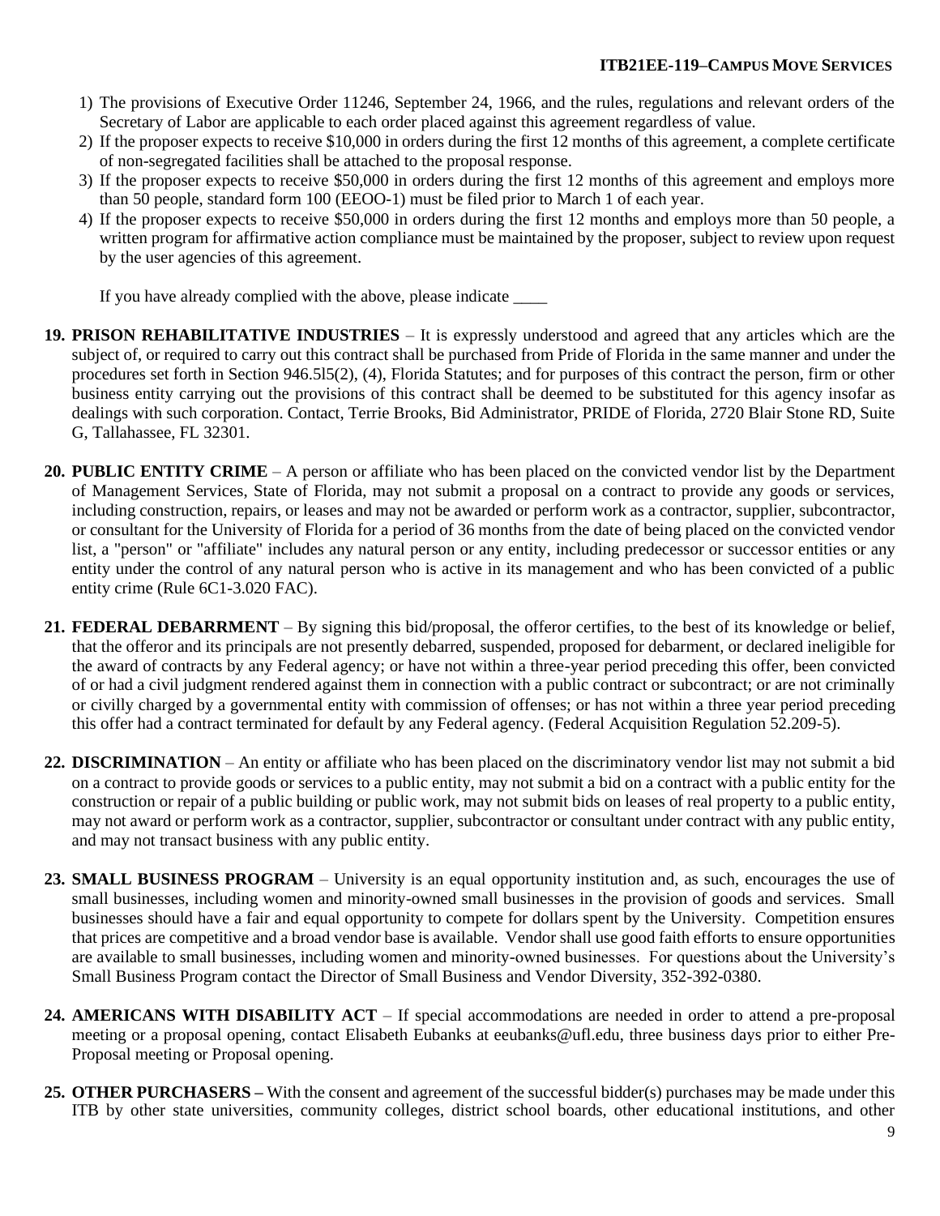- 1) The provisions of Executive Order 11246, September 24, 1966, and the rules, regulations and relevant orders of the Secretary of Labor are applicable to each order placed against this agreement regardless of value.
- 2) If the proposer expects to receive \$10,000 in orders during the first 12 months of this agreement, a complete certificate of non-segregated facilities shall be attached to the proposal response.
- 3) If the proposer expects to receive \$50,000 in orders during the first 12 months of this agreement and employs more than 50 people, standard form 100 (EEOO-1) must be filed prior to March 1 of each year.
- 4) If the proposer expects to receive \$50,000 in orders during the first 12 months and employs more than 50 people, a written program for affirmative action compliance must be maintained by the proposer, subject to review upon request by the user agencies of this agreement.

If you have already complied with the above, please indicate \_\_\_\_\_\_

- **19. PRISON REHABILITATIVE INDUSTRIES** It is expressly understood and agreed that any articles which are the subject of, or required to carry out this contract shall be purchased from Pride of Florida in the same manner and under the procedures set forth in Section 946.5l5(2), (4), Florida Statutes; and for purposes of this contract the person, firm or other business entity carrying out the provisions of this contract shall be deemed to be substituted for this agency insofar as dealings with such corporation. Contact, Terrie Brooks, Bid Administrator, PRIDE of Florida, 2720 Blair Stone RD, Suite G, Tallahassee, FL 32301.
- **20. PUBLIC ENTITY CRIME** A person or affiliate who has been placed on the convicted vendor list by the Department of Management Services, State of Florida, may not submit a proposal on a contract to provide any goods or services, including construction, repairs, or leases and may not be awarded or perform work as a contractor, supplier, subcontractor, or consultant for the University of Florida for a period of 36 months from the date of being placed on the convicted vendor list, a "person" or "affiliate" includes any natural person or any entity, including predecessor or successor entities or any entity under the control of any natural person who is active in its management and who has been convicted of a public entity crime (Rule 6C1-3.020 FAC).
- **21. FEDERAL DEBARRMENT** By signing this bid/proposal, the offeror certifies, to the best of its knowledge or belief, that the offeror and its principals are not presently debarred, suspended, proposed for debarment, or declared ineligible for the award of contracts by any Federal agency; or have not within a three-year period preceding this offer, been convicted of or had a civil judgment rendered against them in connection with a public contract or subcontract; or are not criminally or civilly charged by a governmental entity with commission of offenses; or has not within a three year period preceding this offer had a contract terminated for default by any Federal agency. (Federal Acquisition Regulation 52.209-5).
- **22. DISCRIMINATION** An entity or affiliate who has been placed on the discriminatory vendor list may not submit a bid on a contract to provide goods or services to a public entity, may not submit a bid on a contract with a public entity for the construction or repair of a public building or public work, may not submit bids on leases of real property to a public entity, may not award or perform work as a contractor, supplier, subcontractor or consultant under contract with any public entity, and may not transact business with any public entity.
- **23. SMALL BUSINESS PROGRAM** University is an equal opportunity institution and, as such, encourages the use of small businesses, including women and minority-owned small businesses in the provision of goods and services. Small businesses should have a fair and equal opportunity to compete for dollars spent by the University. Competition ensures that prices are competitive and a broad vendor base is available. Vendor shall use good faith efforts to ensure opportunities are available to small businesses, including women and minority-owned businesses. For questions about the University's Small Business Program contact the Director of Small Business and Vendor Diversity, 352-392-0380.
- **24. AMERICANS WITH DISABILITY ACT** If special accommodations are needed in order to attend a pre-proposal meeting or a proposal opening, contact Elisabeth Eubanks at eeubanks@ufl.edu, three business days prior to either Pre-Proposal meeting or Proposal opening.
- **25. OTHER PURCHASERS –** With the consent and agreement of the successful bidder(s) purchases may be made under this ITB by other state universities, community colleges, district school boards, other educational institutions, and other